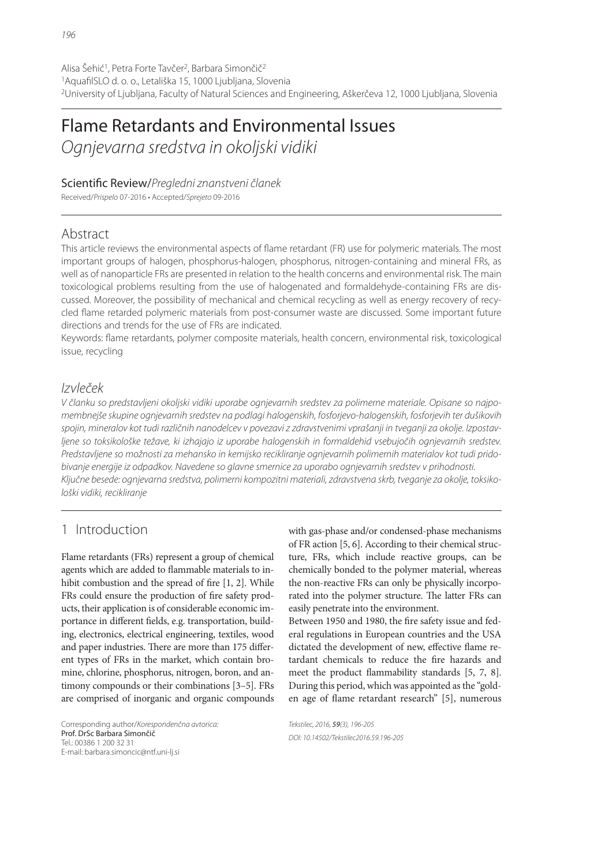# Flame Retardants and Environmental Issues

*Ognjevarna sredstva in okoljski vidiki*

Scientific Review/Pregledni znanstveni članek

Received/*Prispelo* 07-2016 • Accepted/*Sprejeto* 09-2016

### Abstract

This article reviews the environmental aspects of flame retardant (FR) use for polymeric materials. The most important groups of halogen, phosphorus-halogen, phosphorus, nitrogen-containing and mineral FRs, as well as of nanoparticle FRs are presented in relation to the health concerns and environmental risk. The main toxicological problems resulting from the use of halogenated and formaldehyde-containing FRs are discussed. Moreover, the possibility of mechanical and chemical recycling as well as energy recovery of recycled flame retarded polymeric materials from post-consumer waste are discussed. Some important future directions and trends for the use of FRs are indicated.

Keywords: flame retardants, polymer composite materials, health concern, environmental risk, toxicological issue, recycling

# *Izvleček*

*V članku so predstavljeni okoljski vidiki uporabe ognjevarnih sredstev za polimerne materiale. Opisane so najpomembnejše skupine ognjevarnih sredstev na podlagi halogenskih, fosforjevo-halogenskih, fosforjevih ter dušikovih spojin, mineralov kot tudi različnih nanodelcev v povezavi z zdravstvenimi vprašanji in tveganji za okolje. Izpostavljene so toksikološke težave, ki izhajajo iz uporabe halogenskih in formaldehid vsebujočih ognjevarnih sredstev. Predstavljene so možnosti za mehansko in kemijsko recikliranje ognjevarnih polimernih materialov kot tudi pridobivanje energije iz odpadkov. Navedene so glavne smernice za uporabo ognjevarnih sredstev v prihodnosti. Ključne besede: ognjevarna sredstva, polimerni kompozitni materiali, zdravstvena skrb, tveganje za okolje, toksikološki vidiki, recikliranje*

# 1 Introduction

Flame retardants (FRs) represent a group of chemical agents which are added to flammable materials to inhibit combustion and the spread of fire  $[1, 2]$ . While FRs could ensure the production of fire safety products, their application is of considerable economic importance in different fields, e.g. transportation, building, electronics, electrical engineering, textiles, wood and paper industries. There are more than 175 different types of FRs in the market, which contain bromine, chlorine, phosphorus, nitrogen, boron, and antimony compounds or their combinations [3–5]. FRs are comprised of inorganic and organic compounds

Corresponding author/*Korespondenčna avtorica:* Prof. DrSc Barbara Simončič Tel.: 00386 1 200 32 31 E-mail: barbara.simoncic@ntf.uni-lj.si

with gas-phase and/or condensed-phase mechanisms of FR action [5, 6]. According to their chemical structure, FRs, which include reactive groups, can be chemically bonded to the polymer material, whereas the non-reactive FRs can only be physically incorporated into the polymer structure. The latter FRs can easily penetrate into the environment.

Between 1950 and 1980, the fire safety issue and federal regulations in European countries and the USA dictated the development of new, effective flame retardant chemicals to reduce the fire hazards and meet the product flammability standards  $[5, 7, 8]$ . During this period, which was appointed as the "golden age of flame retardant research" [5], numerous

*Tekstilec, 2016,* 59*(3), 196-205 DOI: 10.14502/Tekstilec2016.59.196-205*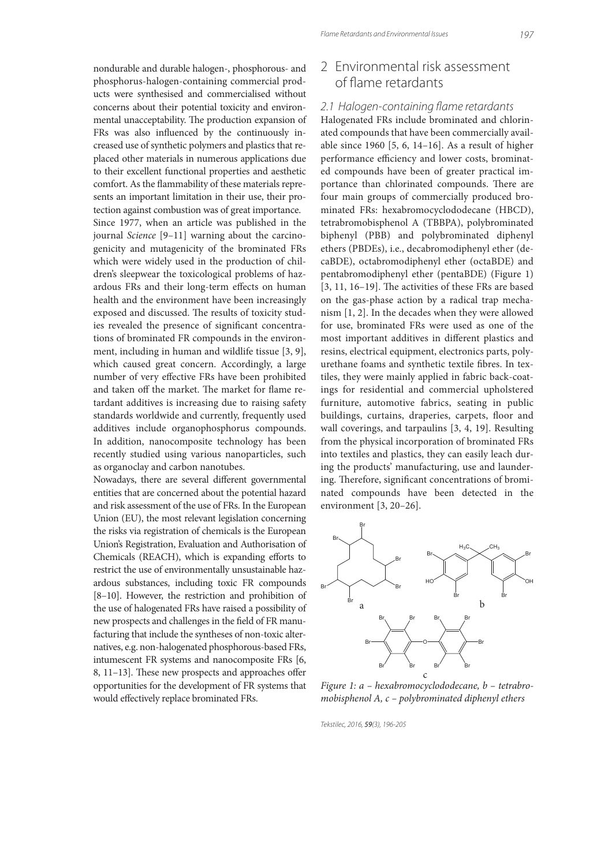nondurable and durable halogen-, phosphorous- and phosphorus-halogen-containing commercial products were synthesised and commercialised without concerns about their potential toxicity and environmental unacceptability. The production expansion of FRs was also influenced by the continuously increased use of synthetic polymers and plastics that replaced other materials in numerous applications due to their excellent functional properties and aesthetic comfort. As the flammability of these materials represents an important limitation in their use, their protection against combustion was of great importance. Since 1977, when an article was published in the journal Science [9–11] warning about the carcinogenicity and mutagenicity of the brominated FRs which were widely used in the production of children's sleepwear the toxicological problems of hazardous FRs and their long-term effects on human health and the environment have been increasingly exposed and discussed. The results of toxicity studies revealed the presence of significant concentrations of brominated FR compounds in the environment, including in human and wildlife tissue [3, 9], which caused great concern. Accordingly, a large number of very effective FRs have been prohibited and taken off the market. The market for flame retardant additives is increasing due to raising safety standards worldwide and currently, frequently used additives include organophosphorus compounds. In addition, nanocomposite technology has been recently studied using various nanoparticles, such as organoclay and carbon nanotubes.

Nowadays, there are several different governmental entities that are concerned about the potential hazard and risk assessment of the use of FRs. In the European Union (EU), the most relevant legislation concerning the risks via registration of chemicals is the European Union's Registration, Evaluation and Authorisation of Chemicals (REACH), which is expanding efforts to restrict the use of environmentally unsustainable hazardous substances, including toxic FR compounds [8–10]. However, the restriction and prohibition of the use of halogenated FRs have raised a possibility of new prospects and challenges in the field of FR manufacturing that include the syntheses of non-toxic alternatives, e.g. non-halogenated phosphorous-based FRs, intumescent FR systems and nanocomposite FRs [6, 8, 11-13]. These new prospects and approaches offer opportunities for the development of FR systems that would effectively replace brominated FRs.

### 2 Environmental risk assessment of flame retardants

#### 2.1 Halogen-containing flame retardants

Halogenated FRs include brominated and chlorinated compounds that have been commercially available since 1960 [5, 6, 14–16]. As a result of higher performance efficiency and lower costs, brominated compounds have been of greater practical importance than chlorinated compounds. There are four main groups of commercially produced brominated FRs: hexabromocyclododecane (HBCD), tetrabromobisphenol A (TBBPA), polybrominated biphenyl (PBB) and polybrominated diphenyl ethers (PBDEs), i.e., decabromodiphenyl ether (decaBDE), octabromodiphenyl ether (octaBDE) and pentabromodiphenyl ether (pentaBDE) (Figure 1)  $[3, 11, 16-19]$ . The activities of these FRs are based on the gas-phase action by a radical trap mechanism [1, 2]. In the decades when they were allowed for use, brominated FRs were used as one of the most important additives in different plastics and resins, electrical equipment, electronics parts, polyurethane foams and synthetic textile fibres. In textiles, they were mainly applied in fabric back-coatings for residential and commercial upholstered furniture, automotive fabrics, seating in public buildings, curtains, draperies, carpets, floor and wall coverings, and tarpaulins [3, 4, 19]. Resulting from the physical incorporation of brominated FRs into textiles and plastics, they can easily leach during the products' manufacturing, use and laundering. Therefore, significant concentrations of brominated compounds have been detected in the environment [3, 20–26].



Figure 1: a – hexabromocyclododecane, b – tetrabromobisphenol A, c – polybrominated diphenyl ethers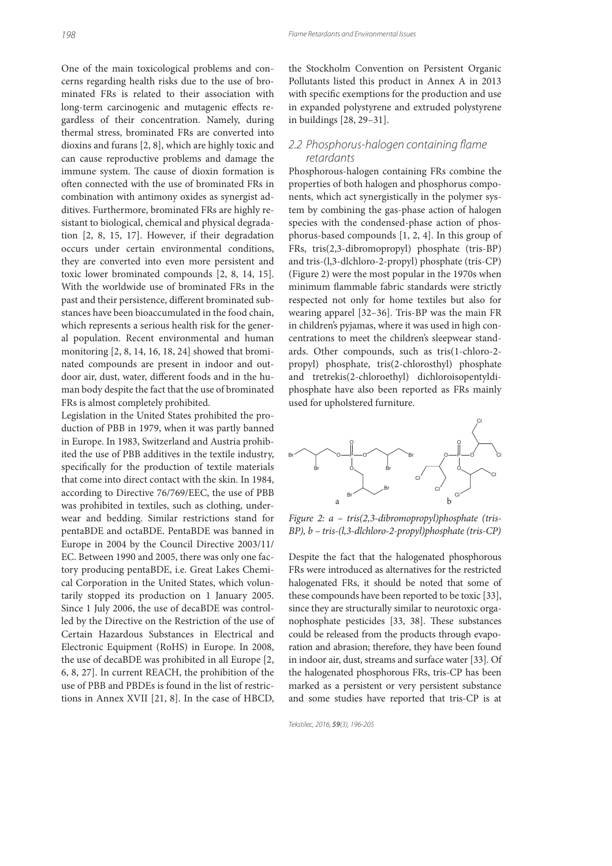One of the main toxicological problems and concerns regarding health risks due to the use of brominated FRs is related to their association with long-term carcinogenic and mutagenic effects regardless of their concentration. Namely, during thermal stress, brominated FRs are converted into dioxins and furans [2, 8], which are highly toxic and can cause reproductive problems and damage the immune system. The cause of dioxin formation is often connected with the use of brominated FRs in combination with antimony oxides as synergist additives. Furthermore, brominated FRs are highly resistant to biological, chemical and physical degradation [2, 8, 15, 17]. However, if their degradation occurs under certain environmental conditions, they are converted into even more persistent and toxic lower brominated compounds [2, 8, 14, 15]. With the worldwide use of brominated FRs in the past and their persistence, different brominated substances have been bioaccumulated in the food chain, which represents a serious health risk for the general population. Recent environmental and human monitoring [2, 8, 14, 16, 18, 24] showed that brominated compounds are present in indoor and outdoor air, dust, water, different foods and in the human body despite the fact that the use of brominated FRs is almost completely prohibited.

Legislation in the United States prohibited the production of PBB in 1979, when it was partly banned in Europe. In 1983, Switzerland and Austria prohibited the use of PBB additives in the textile industry, specifically for the production of textile materials that come into direct contact with the skin. In 1984, according to Directive 76/769/EEC, the use of PBB was prohibited in textiles, such as clothing, underwear and bedding. Similar restrictions stand for pentaBDE and octaBDE. PentaBDE was banned in Europe in 2004 by the Council Directive 2003/11/ EC. Between 1990 and 2005, there was only one factory producing pentaBDE, i.e. Great Lakes Chemical Corporation in the United States, which voluntarily stopped its production on 1 January 2005. Since 1 July 2006, the use of decaBDE was controlled by the Directive on the Restriction of the use of Certain Hazardous Substances in Electrical and Electronic Equipment (RoHS) in Europe. In 2008, the use of decaBDE was prohibited in all Europe [2, 6, 8, 27]. In current REACH, the prohibition of the use of PBB and PBDEs is found in the list of restrictions in Annex XVII [21, 8]. In the case of HBCD,

the Stockholm Convention on Persistent Organic Pollutants listed this product in Annex A in 2013 with specific exemptions for the production and use in expanded polystyrene and extruded polystyrene in buildings [28, 29–31].

#### 2.2 Phosphorus-halogen containing flame  *retardants*

Phosphorous-halogen containing FRs combine the properties of both halogen and phosphorus components, which act synergistically in the polymer system by combining the gas-phase action of halogen species with the condensed-phase action of phosphorus-based compounds [1, 2, 4]. In this group of FRs, tris(2,3-dibromopropyl) phosphate (tris-BP) and tris-(l,3-dlchloro-2-propyl) phosphate (tris-CP) (Figure 2) were the most popular in the 1970s when minimum flammable fabric standards were strictly respected not only for home textiles but also for wearing apparel [32–36]. Tris-BP was the main FR in children's pyjamas, where it was used in high concentrations to meet the children's sleepwear standards. Other compounds, such as tris(1-chloro-2 propyl) phosphate, tris(2-chlorosthyl) phosphate and tretrekis(2-chloroethyl) dichloroisopentyldiphosphate have also been reported as FRs mainly used for upholstered furniture.



Figure 2:  $a - tris(2,3-dibromopropyl)phosphate (tris-$ BP), b – tris-(l,3-dlchloro-2-propyl)phosphate (tris-CP)

Despite the fact that the halogenated phosphorous FRs were introduced as alternatives for the restricted halogenated FRs, it should be noted that some of these compounds have been reported to be toxic [33], since they are structurally similar to neurotoxic organophosphate pesticides [33, 38]. These substances could be released from the products through evaporation and abrasion; therefore, they have been found in indoor air, dust, streams and surface water [33]. Of the halogenated phosphorous FRs, tris-CP has been marked as a persistent or very persistent substance and some studies have reported that tris-CP is at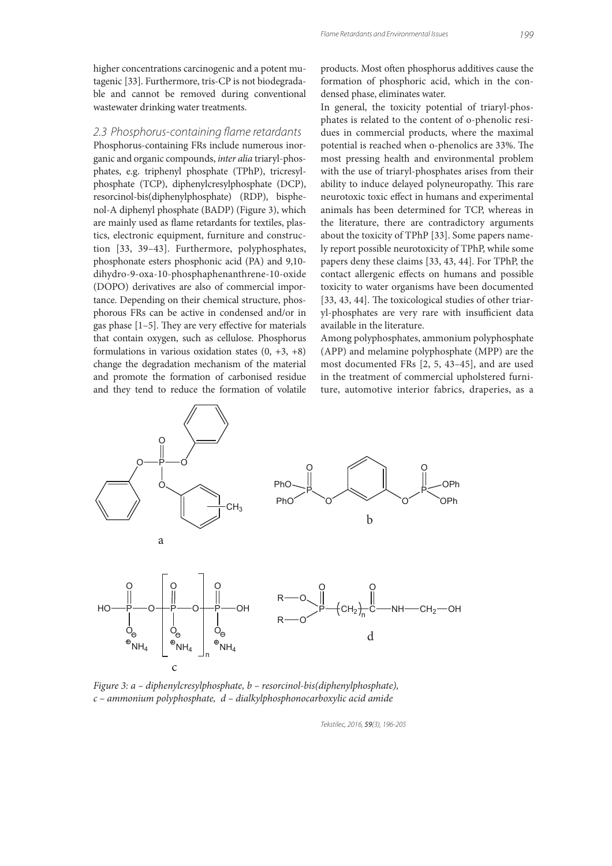higher concentrations carcinogenic and a potent mutagenic [33]. Furthermore, tris-CP is not biodegradable and cannot be removed during conventional wastewater drinking water treatments.

#### 2.3 Phosphorus-containing flame retardants

Phosphorus-containing FRs include numerous inorganic and organic compounds, inter alia triaryl-phosphates, e.g. triphenyl phosphate (TPhP), tricresylphosphate (TCP), diphenylcresylphosphate (DCP), resorcinol-bis(diphenylphosphate) (RDP), bisphenol-A diphenyl phosphate (BADP) (Figure 3), which are mainly used as flame retardants for textiles, plastics, electronic equipment, furniture and construction [33, 39–43]. Furthermore, polyphosphates, phosphonate esters phosphonic acid (PA) and 9,10 dihydro-9-oxa-10-phosphaphenanthrene-10-oxide (DOPO) derivatives are also of commercial importance. Depending on their chemical structure, phosphorous FRs can be active in condensed and/or in gas phase  $[1-5]$ . They are very effective for materials that contain oxygen, such as cellulose. Phosphorus formulations in various oxidation states  $(0, +3, +8)$ change the degradation mechanism of the material and promote the formation of carbonised residue and they tend to reduce the formation of volatile products. Most often phosphorus additives cause the formation of phosphoric acid, which in the condensed phase, eliminates water.

In general, the toxicity potential of triaryl-phosphates is related to the content of o-phenolic residues in commercial products, where the maximal potential is reached when o-phenolics are 33%. The most pressing health and environmental problem with the use of triaryl-phosphates arises from their ability to induce delayed polyneuropathy. This rare neurotoxic toxic effect in humans and experimental animals has been determined for TCP, whereas in the literature, there are contradictory arguments about the toxicity of TPhP [33]. Some papers namely report possible neurotoxicity of TPhP, while some papers deny these claims [33, 43, 44]. For TPhP, the contact allergenic effects on humans and possible toxicity to water organisms have been documented  $[33, 43, 44]$ . The toxicological studies of other triaryl-phosphates are very rare with insufficient data available in the literature.

Among polyphosphates, ammonium polyphosphate (APP) and melamine polyphosphate (MPP) are the most documented FRs [2, 5, 43–45], and are used in the treatment of commercial upholstered furniture, automotive interior fabrics, draperies, as a



Figure 3: a – diphenylcresylphosphate, b – resorcinol-bis(diphenylphosphate), c – ammonium polyphosphate, d – dialkylphosphonocarboxylic acid amide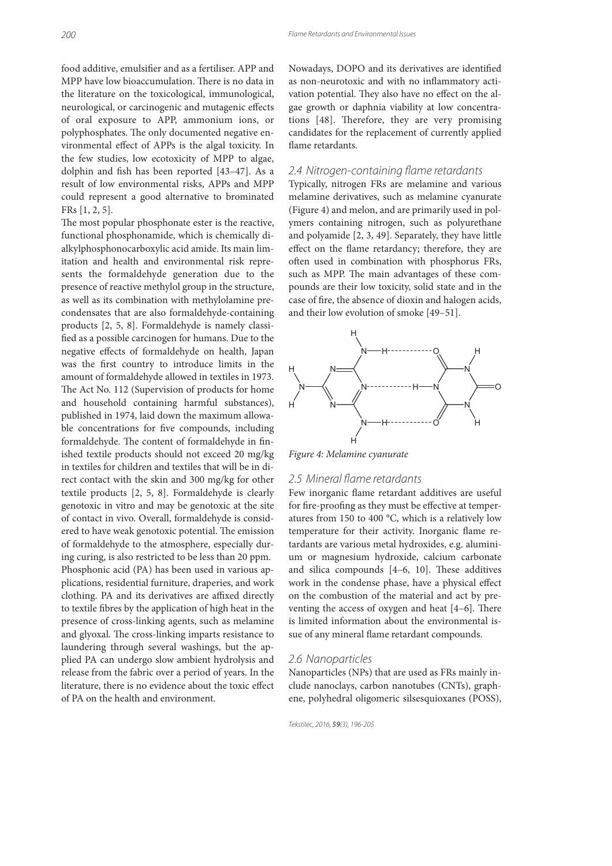food additive, emulsifier and as a fertiliser. APP and MPP have low bioaccumulation. There is no data in the literature on the toxicological, immunological, neurological, or carcinogenic and mutagenic effects of oral exposure to APP, ammonium ions, or polyphosphates. The only documented negative environmental effect of APPs is the algal toxicity. In the few studies, low ecotoxicity of MPP to algae, dolphin and fish has been reported [43-47]. As a result of low environmental risks, APPs and MPP could represent a good alternative to brominated FRs [1, 2, 5].

The most popular phosphonate ester is the reactive, functional phosphonamide, which is chemically dialkylphosphonocarboxylic acid amide. Its main limitation and health and environmental risk represents the formaldehyde generation due to the presence of reactive methylol group in the structure, as well as its combination with methylolamine precondensates that are also formaldehyde-containing products [2, 5, 8]. Formaldehyde is namely classi fied as a possible carcinogen for humans. Due to the negative effects of formaldehyde on health, Japan was the first country to introduce limits in the amount of formaldehyde allowed in textiles in 1973. The Act No. 112 (Supervision of products for home and household containing harmful substances), published in 1974, laid down the maximum allowable concentrations for five compounds, including formaldehyde. The content of formaldehyde in finished textile products should not exceed 20 mg/kg in textiles for children and textiles that will be in direct contact with the skin and 300 mg/kg for other textile products [2, 5, 8]. Formaldehyde is clearly genotoxic in vitro and may be genotoxic at the site of contact in vivo. Overall, formaldehyde is considered to have weak genotoxic potential. The emission of formaldehyde to the atmosphere, especially during curing, is also restricted to be less than 20 ppm. Phosphonic acid (PA) has been used in various applications, residential furniture, draperies, and work clothing. PA and its derivatives are affixed directly to textile fibres by the application of high heat in the presence of cross-linking agents, such as melamine and glyoxal. The cross-linking imparts resistance to laundering through several washings, but the applied PA can undergo slow ambient hydrolysis and release from the fabric over a period of years. In the literature, there is no evidence about the toxic effect of PA on the health and environment.

Nowadays, DOPO and its derivatives are identified as non-neurotoxic and with no inflammatory activation potential. They also have no effect on the algae growth or daphnia viability at low concentrations [48]. Therefore, they are very promising candidates for the replacement of currently applied flame retardants.

#### 2.4 Nitrogen-containing flame retardants

Typically, nitrogen FRs are melamine and various melamine derivatives, such as melamine cyanurate (Figure 4) and melon, and are primarily used in polymers containing nitrogen, such as polyurethane and polyamide [2, 3, 49]. Separately, they have little effect on the flame retardancy; therefore, they are often used in combination with phosphorus FRs, such as MPP. The main advantages of these compounds are their low toxicity, solid state and in the case of fire, the absence of dioxin and halogen acids, and their low evolution of smoke [49–51].



Figure 4: Melamine cyanurate

#### 2.5 Mineral flame retardants

Few inorganic flame retardant additives are useful for fire-proofing as they must be effective at temperatures from 150 to 400 °C, which is a relatively low temperature for their activity. Inorganic flame retardants are various metal hydroxides, e.g. aluminium or magnesium hydroxide, calcium carbonate and silica compounds  $[4-6, 10]$ . These additives work in the condense phase, have a physical effect on the combustion of the material and act by preventing the access of oxygen and heat  $[4-6]$ . There is limited information about the environmental issue of any mineral flame retardant compounds.

#### *2.6 Nanoparticles*

Nanoparticles (NPs) that are used as FRs mainly include nanoclays, carbon nanotubes (CNTs), graphene, polyhedral oligomeric silsesquioxanes (POSS),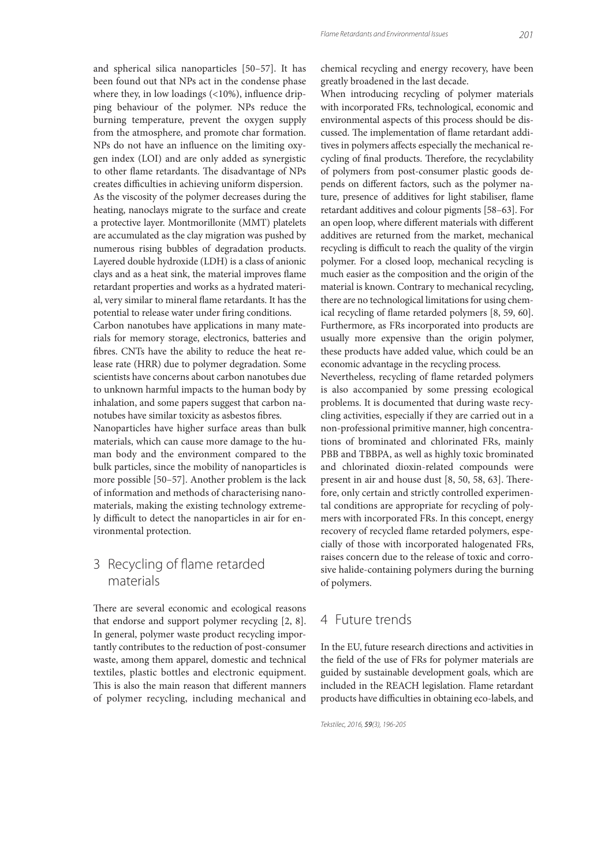and spherical silica nanoparticles [50–57]. It has been found out that NPs act in the condense phase where they, in low loadings  $( < 10\%)$ , influence dripping behaviour of the polymer. NPs reduce the burning temperature, prevent the oxygen supply from the atmosphere, and promote char formation. NPs do not have an influence on the limiting oxygen index (LOI) and are only added as synergistic to other flame retardants. The disadvantage of NPs creates difficulties in achieving uniform dispersion. As the viscosity of the polymer decreases during the heating, nanoclays migrate to the surface and create a protective layer. Montmorillonite (MMT) platelets are accumulated as the clay migration was pushed by numerous rising bubbles of degradation products. Layered double hydroxide (LDH) is a class of anionic clays and as a heat sink, the material improves flame retardant properties and works as a hydrated material, very similar to mineral flame retardants. It has the potential to release water under firing conditions.

Carbon nanotubes have applications in many materials for memory storage, electronics, batteries and bres. CNTs have the ability to reduce the heat release rate (HRR) due to polymer degradation. Some scientists have concerns about carbon nanotubes due to unknown harmful impacts to the human body by inhalation, and some papers suggest that carbon nanotubes have similar toxicity as asbestos fibres.

Nanoparticles have higher surface areas than bulk materials, which can cause more damage to the human body and the environment compared to the bulk particles, since the mobility of nanoparticles is more possible [50–57]. Another problem is the lack of information and methods of characterising nanomaterials, making the existing technology extremely difficult to detect the nanoparticles in air for environmental protection.

# 3 Recycling of flame retarded materials

There are several economic and ecological reasons that endorse and support polymer recycling [2, 8]. In general, polymer waste product recycling importantly contributes to the reduction of post-consumer waste, among them apparel, domestic and technical textiles, plastic bottles and electronic equipment. This is also the main reason that different manners of polymer recycling, including mechanical and chemical recycling and energy recovery, have been greatly broadened in the last decade.

When introducing recycling of polymer materials with incorporated FRs, technological, economic and environmental aspects of this process should be discussed. The implementation of flame retardant additives in polymers affects especially the mechanical recycling of final products. Therefore, the recyclability of polymers from post-consumer plastic goods depends on different factors, such as the polymer nature, presence of additives for light stabiliser, flame retardant additives and colour pigments [58–63]. For an open loop, where different materials with different additives are returned from the market, mechanical recycling is difficult to reach the quality of the virgin polymer. For a closed loop, mechanical recycling is much easier as the composition and the origin of the material is known. Contrary to mechanical recycling, there are no technological limitations for using chemical recycling of flame retarded polymers [8, 59, 60]. Furthermore, as FRs incorporated into products are usually more expensive than the origin polymer, these products have added value, which could be an economic advantage in the recycling process.

Nevertheless, recycling of flame retarded polymers is also accompanied by some pressing ecological problems. It is documented that during waste recycling activities, especially if they are carried out in a non-professional primitive manner, high concentrations of brominated and chlorinated FRs, mainly PBB and TBBPA, as well as highly toxic brominated and chlorinated dioxin-related compounds were present in air and house dust  $[8, 50, 58, 63]$ . Therefore, only certain and strictly controlled experimental conditions are appropriate for recycling of polymers with incorporated FRs. In this concept, energy recovery of recycled flame retarded polymers, especially of those with incorporated halogenated FRs, raises concern due to the release of toxic and corrosive halide-containing polymers during the burning of polymers.

### 4 Future trends

In the EU, future research directions and activities in the field of the use of FRs for polymer materials are guided by sustainable development goals, which are included in the REACH legislation. Flame retardant products have difficulties in obtaining eco-labels, and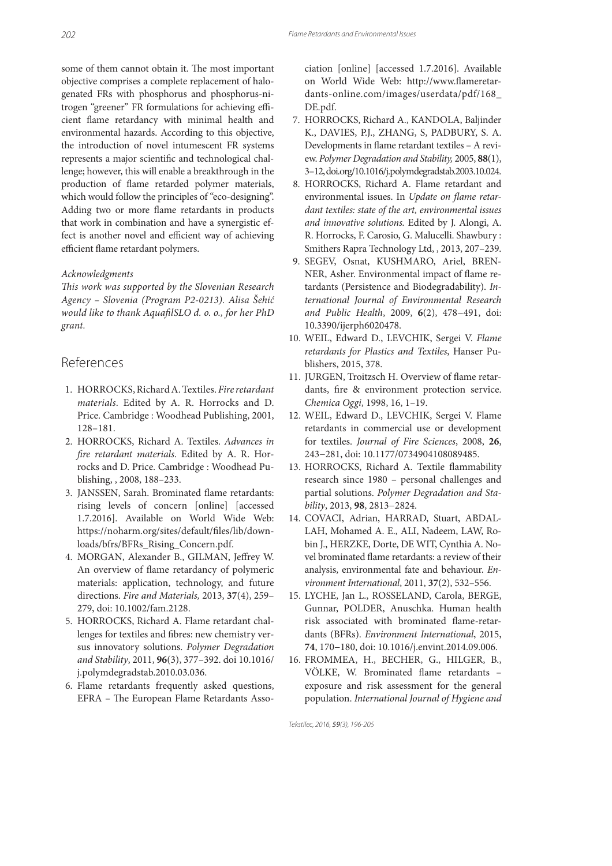some of them cannot obtain it. The most important objective comprises a complete replacement of halogenated FRs with phosphorus and phosphorus-nitrogen "greener" FR formulations for achieving efficient flame retardancy with minimal health and environmental hazards. According to this objective, the introduction of novel intumescent FR systems represents a major scientific and technological challenge; however, this will enable a breakthrough in the production of flame retarded polymer materials, which would follow the principles of "eco-designing". Adding two or more flame retardants in products that work in combination and have a synergistic effect is another novel and efficient way of achieving efficient flame retardant polymers.

#### Acknowledgments

This work was supported by the Slovenian Research Agency – Slovenia (Program P2-0213). Alisa Šehić would like to thank AquafilSLO d. o. o., for her PhD grant.

### References

- 1. HORROCKS, Richard A. Textiles. Fire retardant materials. Edited by A. R. Horrocks and D. Price. Cambridge : Woodhead Publishing, 2001, 128–181.
- 2. HORROCKS, Richard A. Textiles. Advances in fire retardant materials. Edited by A. R. Horrocks and D. Price. Cambridge : Woodhead Publishing, , 2008, 188–233.
- 3. JANSSEN, Sarah. Brominated flame retardants: rising levels of concern [online] [accessed 1.7.2016]. Available on World Wide Web: https://noharm.org/sites/default/files/lib/downloads/bfrs/BFRs\_Rising\_Concern.pdf.
- 4. MORGAN, Alexander B., GILMAN, Jeffrey W. An overview of flame retardancy of polymeric materials: application, technology, and future directions. Fire and Materials, 2013, **37**(4), 259– 279, doi: 10.1002/fam.2128.
- 5. HORROCKS, Richard A. Flame retardant challenges for textiles and fibres: new chemistry versus innovatory solutions. Polymer Degradation and Stability, 2011, **96**(3), 377–392. doi 10.1016/ j.polymdegradstab.2010.03.036.
- 6. Flame retardants frequently asked questions, EFRA - The European Flame Retardants Asso-

ciation [online] [accessed 1.7.2016]. Available on World Wide Web: http://www.flameretardants-online.com/images/userdata/pdf/168\_ DE.pdf.

- 7. HORROCKS, Richard A., KANDOLA, Baljinder K., DAVIES, P.J., ZHANG, S, PADBURY, S. A. Developments in flame retardant textiles - A review. Polymer Degradation and Stability, 2005, **88**(1), 3–12, doi.org/10.1016/j.polymdegradstab.2003.10.024.
- 8. HORROCKS, Richard A. Flame retardant and environmental issues. In Update on flame retardant textiles: state of the art, environmental issues and innovative solutions. Edited by J. Alongi, A. R. Horrocks, F. Carosio, G. Malucelli. Shawbury : Smithers Rapra Technology Ltd, , 2013, 207–239.
- 9. SEGEV, Osnat, KUSHMARO, Ariel, BREN-NER, Asher. Environmental impact of flame retardants (Persistence and Biodegradability). International Journal of Environmental Research and Public Health, 2009, **6**(2), 478−491, doi: 10.3390/ijerph6020478.
- 10. WEIL, Edward D., LEVCHIK, Sergei V. Flame retardants for Plastics and Textiles, Hanser Publishers, 2015, 378.
- 11. JURGEN, Troitzsch H. Overview of flame retardants, fire & environment protection service. Chemica Oggi, 1998, 16, 1–19.
- 12. WEIL, Edward D., LEVCHIK, Sergei V. Flame retardants in commercial use or development for textiles. Journal of Fire Sciences, 2008, **26**, 243−281, doi: 10.1177/0734904108089485.
- 13. HORROCKS, Richard A. Textile flammability research since 1980 – personal challenges and partial solutions. Polymer Degradation and Stability, 2013, **98**, 2813−2824.
- 14. COVACI, Adrian, HARRAD, Stuart, ABDAL-LAH, Mohamed A. E., ALI, Nadeem, LAW, Robin J., HERZKE, Dorte, DE WIT, Cynthia A. Novel brominated flame retardants: a review of their analysis, environmental fate and behaviour. Environment International, 2011, **37**(2), 532–556.
- 15. LYCHE, Jan L., ROSSELAND, Carola, BERGE, Gunnar, POLDER, Anuschka. Human health risk associated with brominated flame-retardants (BFRs). Environment International, 2015, **74**, 170−180, doi: 10.1016/j.envint.2014.09.006.
- 16. FROMMEA, H., BECHER, G., HILGER, B., VÖLKE, W. Brominated flame retardants exposure and risk assessment for the general population. International Journal of Hygiene and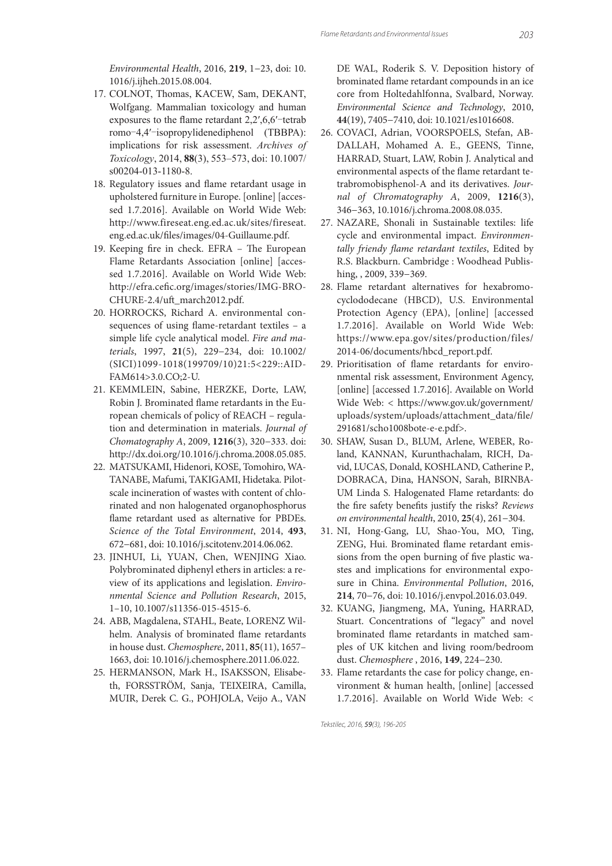Environmental Health, 2016, **219**, 1−23, doi: 10. 1016/j.ijheh.2015.08.004.

- 17. COLNOT, Thomas, KACEW, Sam, DEKANT, Wolfgang. Mammalian toxicology and human exposures to the flame retardant  $2,2',6,6'-t$ etrab romo-4,4′-isopropylidenediphenol (TBBPA): implications for risk assessment. *Archives of Toxicology*, 2014, **88**(3), 553–573, doi: 10.1007/ s00204-013-1180-8.
- 18. Regulatory issues and flame retardant usage in upholstered furniture in Europe. [online] [accessed 1.7.2016]. Available on World Wide Web: http://www.fireseat.eng.ed.ac.uk/sites/fireseat. eng.ed.ac.uk/files/images/04-Guillaume.pdf.
- 19. Keeping fire in check. EFRA The European Flame Retardants Association [online] [accessed 1.7.2016]. Available on World Wide Web: http://efra.cefic.org/images/stories/IMG-BRO-CHURE-2.4/uft march2012.pdf.
- 20. HORROCKS, Richard A. environmental consequences of using flame-retardant textiles  $-$  a simple life cycle analytical model. Fire and materials, 1997, **21**(5), 229−234, doi: 10.1002/ (SICI)1099-1018(199709/10)21:5<229::AID-FAM614>3.0.CO;2-U.
- 21. KEMMLEIN, Sabine, HERZKE, Dorte, LAW, Robin J. Brominated flame retardants in the European chemicals of policy of REACH – regulation and determination in materials. Journal of Chomatography A, 2009, **1216**(3), 320−333. doi: http://dx.doi.org/10.1016/j.chroma.2008.05.085.
- 22. MATSUKAMI, Hidenori, KOSE, Tomohiro, WA-TANABE, Mafumi, TAKIGAMI, Hidetaka. Pilotscale incineration of wastes with content of chlorinated and non halogenated organophosphorus flame retardant used as alternative for PBDEs. Science of the Total Environment, 2014, **493**, 672−681, doi: 10.1016/j.scitotenv.2014.06.062.
- 23. JINHUI, Li, YUAN, Chen, WENJING Xiao. Polybrominated diphenyl ethers in articles: a review of its applications and legislation. Environmental Science and Pollution Research, 2015, 1–10, 10.1007/s11356-015-4515-6.
- 24. ABB, Magdalena, STAHL, Beate, LORENZ Wilhelm. Analysis of brominated flame retardants in house dust. Chemosphere, 2011, **85**(11), 1657– 1663, doi: 10.1016/j.chemosphere.2011.06.022.
- 25. HERMANSON, Mark H., ISAKSSON, Elisabeth, FORSSTRÖM, Sanja, TEIXEIRA, Camilla, MUIR, Derek C. G., POHJOLA, Veijo A., VAN

DE WAL, Roderik S. V. Deposition history of brominated flame retardant compounds in an ice core from Holtedahlfonna, Svalbard, Norway. Environmental Science and Technology, 2010, **44**(19), 7405−7410, doi: 10.1021/es1016608.

- 26. COVACI, Adrian, VOORSPOELS, Stefan, AB-DALLAH, Mohamed A. E., GEENS, Tinne, HARRAD, Stuart, LAW, Robin J. Analytical and environmental aspects of the flame retardant tetrabromobisphenol-A and its derivatives. Journal of Chromatography A, 2009, **1216**(3), 346−363, 10.1016/j.chroma.2008.08.035.
- 27. NAZARE, Shonali in Sustainable textiles: life cycle and environmental impact. Environmentally friendy flame retardant textiles, Edited by R.S. Blackburn. Cambridge : Woodhead Publishing, , 2009, 339−369.
- 28. Flame retardant alternatives for hexabromocyclododecane (HBCD), U.S. Environmental Protection Agency (EPA), [online] [accessed 1.7.2016]. Available on World Wide Web: https://www.epa.gov/sites/production/files/ 2014-06/documents/hbcd\_report.pdf.
- 29. Prioritisation of flame retardants for environmental risk assessment, Environment Agency, [online] [accessed 1.7.2016]. Available on World Wide Web: < https://www.gov.uk/government/ uploads/system/uploads/attachment\_data/file/ 291681/scho1008bote-e-e.pdf>.
- 30. SHAW, Susan D., BLUM, Arlene, WEBER, Roland, KANNAN, Kurunthachalam, RICH, David, LUCAS, Donald, KOSHLAND, Catherine P., DOBRACA, Dina, HANSON, Sarah, BIRNBA-UM Linda S. Halogenated Flame retardants: do the fire safety benefits justify the risks? Reviews on environmental health, 2010, **25**(4), 261−304.
- 31. NI, Hong-Gang, LU, Shao-You, MO, Ting, ZENG, Hui. Brominated flame retardant emissions from the open burning of five plastic wastes and implications for environmental exposure in China. Environmental Pollution, 2016, **214**, 70−76, doi: 10.1016/j.envpol.2016.03.049.
- 32. KUANG, Jiangmeng, MA, Yuning, HARRAD, Stuart. Concentrations of "legacy" and novel brominated flame retardants in matched samples of UK kitchen and living room/bedroom dust. Chemosphere , 2016, **149**, 224−230.
- 33. Flame retardants the case for policy change, environment & human health, [online] [accessed 1.7.2016]. Available on World Wide Web: <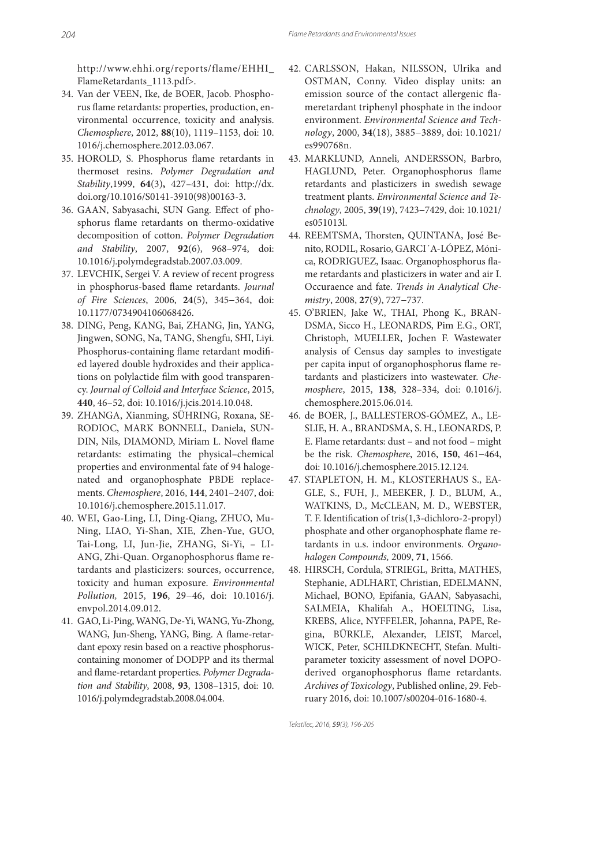http://www.ehhi.org/reports/flame/EHHI\_ FlameRetardants\_1113.pdf>.

- 34. Van der VEEN, Ike, de BOER, Jacob. Phosphorus flame retardants: properties, production, environmental occurrence, toxicity and analysis. Chemosphere, 2012, **88**(10), 1119–1153, doi: 10. 1016/j.chemosphere.2012.03.067.
- 35. HOROLD, S. Phosphorus flame retardants in thermoset resins. Polymer Degradation and Stability,1999, **64**(3)**,** 427–431, doi: http://dx. doi.org/10.1016/S0141-3910(98)00163-3.
- 36. GAAN, Sabyasachi, SUN Gang. Effect of phosphorus flame retardants on thermo-oxidative decomposition of cotton. Polymer Degradation and Stability, 2007, **92**(6), 968–974, doi: 10.1016/j.polymdegradstab.2007.03.009.
- 37. LEVCHIK, Sergei V. A review of recent progress in phosphorus-based flame retardants. Journal of Fire Sciences, 2006, **24**(5), 345−364, doi: 10.1177/0734904106068426.
- 38. DING, Peng, KANG, Bai, ZHANG, Jin, YANG, Jingwen, SONG, Na, TANG, Shengfu, SHI, Liyi. Phosphorus-containing flame retardant modified layered double hydroxides and their applications on polylactide film with good transparency. Journal of Colloid and Interface Science, 2015, **440**, 46–52, doi: 10.1016/j.jcis.2014.10.048.
- 39. ZHANGA, Xianming, SÜHRING, Roxana, SE-RODIOC, MARK BONNELL, Daniela, SUN-DIN, Nils, DIAMOND, Miriam L. Novel flame retardants: estimating the physical–chemical properties and environmental fate of 94 halogenated and organophosphate PBDE replacements. Chemosphere, 2016, **144**, 2401–2407, doi: 10.1016/j.chemosphere.2015.11.017.
- 40. WEI, Gao-Ling, LI, Ding-Qiang, ZHUO, Mu-Ning, LIAO, Yi-Shan, XIE, Zhen-Yue, GUO, Tai-Long, LI, Jun-Jie, ZHANG, Si-Yi, – LI-ANG, Zhi-Quan. Organophosphorus flame retardants and plasticizers: sources, occurrence, toxicity and human exposure. Environmental Pollution, 2015, **196**, 29−46, doi: 10.1016/j. envpol.2014.09.012.
- 41. GAO, Li-Ping, WANG, De-Yi, WANG, Yu-Zhong, WANG, Jun-Sheng, YANG, Bing. A flame-retardant epoxy resin based on a reactive phosphoruscontaining monomer of DODPP and its thermal and flame-retardant properties. Polymer Degradation and Stability, 2008, **93**, 1308–1315, doi: 10. 1016/j.polymdegradstab.2008.04.004.
- 42. CARLSSON, Hakan, NILSSON, Ulrika and OSTMAN, Conny. Video display units: an emission source of the contact allergenic flameretardant triphenyl phosphate in the indoor environment. Environmental Science and Technology, 2000, **34**(18), 3885−3889, doi: 10.1021/ es990768n.
- 43. MARKLUND, Anneli, ANDERSSON, Barbro, HAGLUND, Peter. Organophosphorus flame retardants and plasticizers in swedish sewage treatment plants. Environmental Science and Technology, 2005, **39**(19), 7423−7429, doi: 10.1021/ es051013l.
- 44. REEMTSMA, Thorsten, QUINTANA, José Benito, RODIL, Rosario, GARCI´A-LÓPEZ, Mónica, RODRIGUEZ, Isaac. Organophosphorus flame retardants and plasticizers in water and air I. Occuraence and fate. Trends in Analytical Chemistry, 2008, **27**(9), 727−737.
- 45. O'BRIEN, Jake W., THAI, Phong K., BRAN-DSMA, Sicco H., LEONARDS, Pim E.G., ORT, Christoph, MUELLER, Jochen F. Wastewater analysis of Census day samples to investigate per capita input of organophosphorus flame retardants and plasticizers into wastewater. Chemosphere, 2015, **138**, 328–334, doi: 0.1016/j. chemosphere.2015.06.014.
- 46. de BOER, J., BALLESTEROS-GÓMEZ, A., LE-SLIE, H. A., BRANDSMA, S. H., LEONARDS, P. E. Flame retardants: dust – and not food – might be the risk. Chemosphere, 2016, **150**, 461−464, doi: 10.1016/j.chemosphere.2015.12.124.
- 47. STAPLETON, H. M., KLOSTERHAUS S., EA-GLE, S., FUH, J., MEEKER, J. D., BLUM, A., WATKINS, D., McCLEAN, M. D., WEBSTER, T. F. Identification of tris(1,3-dichloro-2-propyl) phosphate and other organophosphate flame retardants in u.s. indoor environments. Organohalogen Compounds, 2009, **71**, 1566.
- 48. HIRSCH, Cordula, STRIEGL, Britta, MATHES, Stephanie, ADLHART, Christian, EDELMANN, Michael, BONO, Epifania, GAAN, Sabyasachi, SALMEIA, Khalifah A., HOELTING, Lisa, KREBS, Alice, NYFFELER, Johanna, PAPE, Regina, BÜRKLE, Alexander, LEIST, Marcel, WICK, Peter, SCHILDKNECHT, Stefan. Multiparameter toxicity assessment of novel DOPOderived organophosphorus flame retardants. Archives of Toxicology, Published online, 29. February 2016, doi: 10.1007/s00204-016-1680-4.